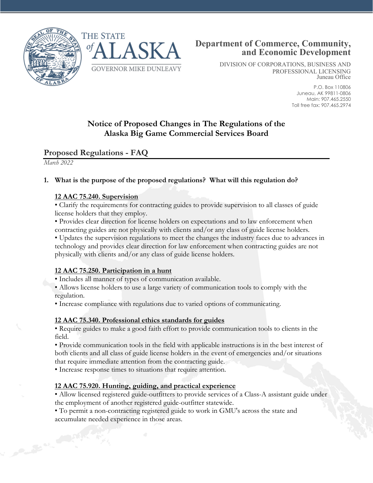



DIVISION OF CORPORATIONS, BUSINESS AND PROFESSIONAL LICENSING Juneau Office

> P.O. Box 110806 Juneau, AK 99811-0806 Main: 907.465.2550 Toll free fax: 907.465.2974

# **Notice of Proposed Changes in The Regulations of the Alaska Big Game Commercial Services Board**

## **Proposed Regulations - FAQ**

*March 2022*

## **1. What is the purpose of the proposed regulations? What will this regulation do?**

#### **12 AAC 75.240. Supervision**

• Clarify the requirements for contracting guides to provide supervision to all classes of guide license holders that they employ.

• Provides clear direction for license holders on expectations and to law enforcement when contracting guides are not physically with clients and/or any class of guide license holders.

• Updates the supervision regulations to meet the changes the industry faces due to advances in technology and provides clear direction for law enforcement when contracting guides are not physically with clients and/or any class of guide license holders.

### **12 AAC 75.250. Participation in a hunt**

• Includes all manner of types of communication available.

• Allows license holders to use a large variety of communication tools to comply with the regulation.

• Increase compliance with regulations due to varied options of communicating.

### **12 AAC 75.340. Professional ethics standards for guides**

• Require guides to make a good faith effort to provide communication tools to clients in the field.

• Provide communication tools in the field with applicable instructions is in the best interest of both clients and all class of guide license holders in the event of emergencies and/or situations that require immediate attention from the contracting guide.

• Increase response times to situations that require attention.

### **12 AAC 75.920. Hunting, guiding, and practical experience**

• Allow licensed registered guide-outfitters to provide services of a Class-A assistant guide under the employment of another registered guide-outfitter statewide.

• To permit a non-contracting registered guide to work in GMU's across the state and accumulate needed experience in those areas.